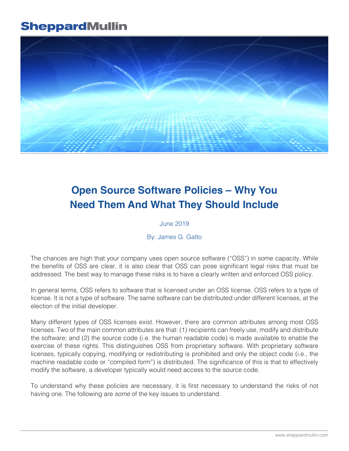## **SheppardMullin**



# **Open Source Software Policies – Why You Need Them And What They Should Include**

June 2019

By: [James G. Gatto](https://www.sheppardmullin.com/jgatto)

The chances are high that your company uses open source software ("OSS") in some capacity. While the benefits of OSS are clear, it is also clear that OSS can pose significant legal risks that must be addressed. The best way to manage these risks is to have a clearly written and enforced OSS policy.

In general terms, OSS refers to software that is licensed under an OSS license. OSS refers to a type of license. It is not a type of software. The same software can be distributed under different licenses, at the election of the initial developer.

Many different types of OSS licenses exist. However, there are common attributes among most OSS licenses. Two of the main common attributes are that: (1) recipients can freely use, modify and distribute the software; and (2) the source code (i.e. the human readable code) is made available to enable the exercise of these rights. This distinguishes OSS from proprietary software. With proprietary software licenses, typically copying, modifying or redistributing is prohibited and only the object code (i.e., the machine readable code or "compiled form") is distributed. The significance of this is that to effectively modify the software, a developer typically would need access to the source code.

To understand why these policies are necessary, it is first necessary to understand the risks of not having one. The following are *some* of the key issues to understand.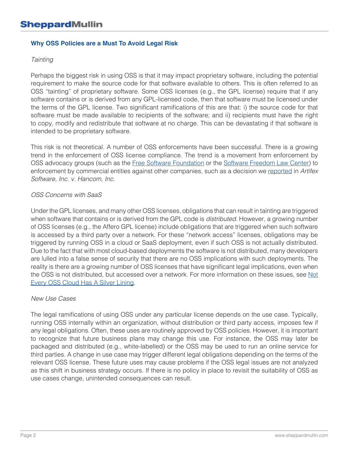#### **Why OSS Policies are a Must To Avoid Legal Risk**

#### *Tainting*

Perhaps the biggest risk in using OSS is that it may impact proprietary software, including the potential requirement to make the source code for that software available to others. This is often referred to as OSS "tainting" of proprietary software. Some OSS licenses (e.g., the GPL license) require that if any software contains or is derived from any GPL-licensed code, then that software must be licensed under the terms of the GPL license. Two significant ramifications of this are that: i) the source code for that software must be made available to recipients of the software; and ii) recipients must have the right to copy, modify and redistribute that software at no charge. This can be devastating if that software is intended to be proprietary software.

This risk is not theoretical. A number of OSS enforcements have been successful. There is a growing trend in the enforcement of OSS license compliance. The trend is a movement from enforcement by OSS advocacy groups (such as the [Free Software Foundation](http://www.fsf.org/) or the [Software Freedom Law Center](https://www.softwarefreedom.org/)) to enforcement by commercial entities against other companies, such as a decision we [reported](http://www.jdsupra.com/legalnews/important-open-source-ruling-confirms-74458) in *Artifex Software, Inc. v. Hancom, Inc*.

#### *OSS Concerns with SaaS*

Under the GPL licenses, and many other OSS licenses, obligations that can result in tainting are triggered when software that contains or is derived from the GPL code is *distributed*. However, a growing number of OSS licenses (e.g., the Affero GPL license) include obligations that are triggered when such software is accessed by a third party over a network. For these "network access" licenses, obligations may be triggered by running OSS in a cloud or SaaS deployment, even if such OSS is not actually distributed. Due to the fact that with most cloud-based deployments the software is not distributed, many developers are lulled into a false sense of security that there are no OSS implications with such deployments. The reality is there are a growing number of OSS licenses that have significant legal implications, even when the OSS is not distributed, but accessed over a network. For more information on these issues, see [Not](https://www.jdsupra.com/legalnews/not-every-open-source-cloud-has-a-40343/) [Every OSS Cloud Has A Silver Lining](https://www.jdsupra.com/legalnews/not-every-open-source-cloud-has-a-40343/).

#### *New Use Cases*

The legal ramifications of using OSS under any particular license depends on the use case. Typically, running OSS internally within an organization, without distribution or third party access, imposes few if any legal obligations. Often, these uses are routinely approved by OSS policies. However, it is important to recognize that future business plans may change this use. For instance, the OSS may later be packaged and distributed (e.g., white-labelled) or the OSS may be used to run an online service for third parties. A change in use case may trigger different legal obligations depending on the terms of the relevant OSS license. These future uses may cause problems if the OSS legal issues are not analyzed as this shift in business strategy occurs. If there is no policy in place to revisit the suitability of OSS as use cases change, unintended consequences can result.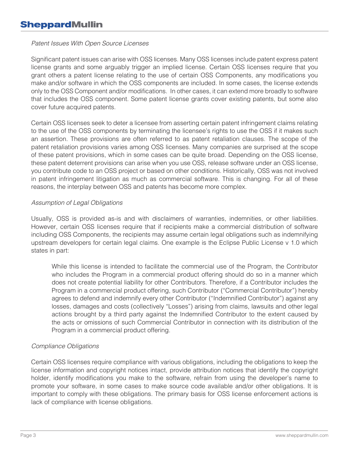#### *Patent Issues With Open Source Licenses*

Significant patent issues can arise with OSS licenses. Many OSS licenses include patent express patent license grants and some arguably trigger an implied license. Certain OSS licenses require that you grant others a patent license relating to the use of certain OSS Components, any modifications you make and/or software in which the OSS components are included. In some cases, the license extends only to the OSS Component and/or modifications. In other cases, it can extend more broadly to software that includes the OSS component. Some patent license grants cover existing patents, but some also cover future acquired patents.

Certain OSS licenses seek to deter a licensee from asserting certain patent infringement claims relating to the use of the OSS components by terminating the licensee's rights to use the OSS if it makes such an assertion. These provisions are often referred to as patent retaliation clauses. The scope of the patent retaliation provisions varies among OSS licenses. Many companies are surprised at the scope of these patent provisions, which in some cases can be quite broad. Depending on the OSS license, these patent deterrent provisions can arise when you use OSS, release software under an OSS license, you contribute code to an OSS project or based on other conditions. Historically, OSS was not involved in patent infringement litigation as much as commercial software. This is changing. For all of these reasons, the interplay between OSS and patents has become more complex.

#### *Assumption of Legal Obligations*

Usually, OSS is provided as-is and with disclaimers of warranties, indemnities, or other liabilities. However, certain OSS licenses require that if recipients make a commercial distribution of software including OSS Components, the recipients may assume certain legal obligations such as indemnifying upstream developers for certain legal claims. One example is the Eclipse Public License v 1.0 which states in part:

While this license is intended to facilitate the commercial use of the Program, the Contributor who includes the Program in a commercial product offering should do so in a manner which does not create potential liability for other Contributors. Therefore, if a Contributor includes the Program in a commercial product offering, such Contributor ("Commercial Contributor") hereby agrees to defend and indemnify every other Contributor ("Indemnified Contributor") against any losses, damages and costs (collectively "Losses") arising from claims, lawsuits and other legal actions brought by a third party against the Indemnified Contributor to the extent caused by the acts or omissions of such Commercial Contributor in connection with its distribution of the Program in a commercial product offering.

#### *Compliance Obligations*

Certain OSS licenses require compliance with various obligations, including the obligations to keep the license information and copyright notices intact, provide attribution notices that identify the copyright holder, identify modifications you make to the software, refrain from using the developer's name to promote your software, in some cases to make source code available and/or other obligations. It is important to comply with these obligations. The primary basis for OSS license enforcement actions is lack of compliance with license obligations.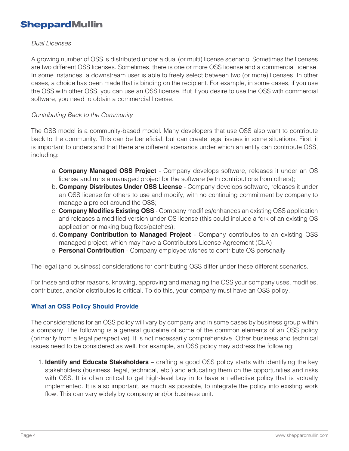### *Dual Licenses*

A growing number of OSS is distributed under a dual (or multi) license scenario. Sometimes the licenses are two different OSS licenses. Sometimes, there is one or more OSS license and a commercial license. In some instances, a downstream user is able to freely select between two (or more) licenses. In other cases, a choice has been made that is binding on the recipient. For example, in some cases, if you use the OSS with other OSS, you can use an OSS license. But if you desire to use the OSS with commercial software, you need to obtain a commercial license.

#### *Contributing Back to the Community*

The OSS model is a community-based model. Many developers that use OSS also want to contribute back to the community. This can be beneficial, but can create legal issues in some situations. First, it is important to understand that there are different scenarios under which an entity can contribute OSS, including:

- a. **Company Managed OSS Project** Company develops software, releases it under an OS license and runs a managed project for the software (with contributions from others);
- b. **Company Distributes Under OSS License** Company develops software, releases it under an OSS license for others to use and modify, with no continuing commitment by company to manage a project around the OSS;
- c. **Company Modifies Existing OSS** Company modifies/enhances an existing OSS application and releases a modified version under OS license (this could include a fork of an existing OS application or making bug fixes/patches);
- d. **Company Contribution to Managed Project**  Company contributes to an existing OSS managed project, which may have a Contributors License Agreement (CLA)
- e. **Personal Contribution** Company employee wishes to contribute OS personally

The legal (and business) considerations for contributing OSS differ under these different scenarios.

For these and other reasons, knowing, approving and managing the OSS your company uses, modifies, contributes, and/or distributes is critical. To do this, your company must have an OSS policy.

### **What an OSS Policy Should Provide**

The considerations for an OSS policy will vary by company and in some cases by business group within a company. The following is a general guideline of some of the common elements of an OSS policy (primarily from a legal perspective). It is not necessarily comprehensive. Other business and technical issues need to be considered as well. For example, an OSS policy may address the following:

 1. **Identify and Educate Stakeholders** – crafting a good OSS policy starts with identifying the key stakeholders (business, legal, technical, etc.) and educating them on the opportunities and risks with OSS. It is often critical to get high-level buy in to have an effective policy that is actually implemented. It is also important, as much as possible, to integrate the policy into existing work flow. This can vary widely by company and/or business unit.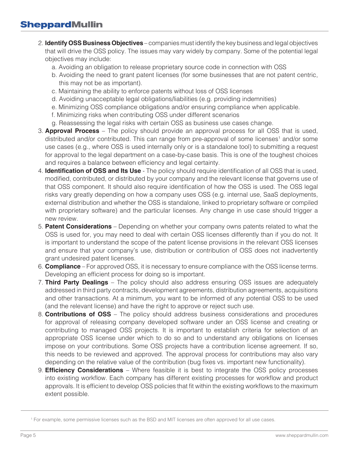- 2. **Identify OSS Business Objectives** companies must identify the key business and legal objectives that will drive the OSS policy. The issues may vary widely by company. Some of the potential legal objectives may include:
	- a. Avoiding an obligation to release proprietary source code in connection with OSS
	- b. Avoiding the need to grant patent licenses (for some businesses that are not patent centric, this may not be as important).
	- c. Maintaining the ability to enforce patents without loss of OSS licenses
	- d. Avoiding unacceptable legal obligations/liabilities (e.g. providing indemnities)
	- e. Minimizing OSS compliance obligations and/or ensuring compliance when applicable.
	- f. Minimizing risks when contributing OSS under different scenarios
	- g. Reassessing the legal risks with certain OSS as business use cases change.
- 3. **Approval Process** The policy should provide an approval process for all OSS that is used, distributed and/or contributed. This can range from pre-approval of some licenses<sup>1</sup> and/or some use cases (e.g., where OSS is used internally only or is a standalone tool) to submitting a request for approval to the legal department on a case-by-case basis. This is one of the toughest choices and requires a balance between efficiency and legal certainty.
- 4. **Identification of OSS and Its Use** The policy should require identification of all OSS that is used, modified, contributed, or distributed by your company and the relevant license that governs use of that OSS component. It should also require identification of how the OSS is used. The OSS legal risks vary greatly depending on how a company uses OSS (e.g. internal use, SaaS deployments, external distribution and whether the OSS is standalone, linked to proprietary software or compiled with proprietary software) and the particular licenses. Any change in use case should trigger a new review.
- 5. **Patent Considerations** Depending on whether your company owns patents related to what the OSS is used for, you may need to deal with certain OSS licenses differently than if you do not. It is important to understand the scope of the patent license provisions in the relevant OSS licenses and ensure that your company's use, distribution or contribution of OSS does not inadvertently grant undesired patent licenses.
- 6. **Compliance** For approved OSS, it is necessary to ensure compliance with the OSS license terms. Developing an efficient process for doing so is important.
- 7. **Third Party Dealings** The policy should also address ensuring OSS issues are adequately addressed in third party contracts, development agreements, distribution agreements, acquisitions and other transactions. At a minimum, you want to be informed of any potential OSS to be used (and the relevant license) and have the right to approve or reject such use.
- 8. **Contributions of OSS** The policy should address business considerations and procedures for approval of releasing company developed software under an OSS license and creating or contributing to managed OSS projects. It is important to establish criteria for selection of an appropriate OSS license under which to do so and to understand any obligations on licenses impose on your contributions. Some OSS projects have a contribution license agreement. If so, this needs to be reviewed and approved. The approval process for contributions may also vary depending on the relative value of the contribution (bug fixes vs. important new functionality).
- 9. **Efficiency Considerations** Where feasible it is best to integrate the OSS policy processes into existing workflow. Each company has different existing processes for workflow and product approvals. It is efficient to develop OSS policies that fit within the existing workflows to the maximum extent possible.

<sup>1</sup> For example, some permissive licenses such as the BSD and MIT licenses are often approved for all use cases.